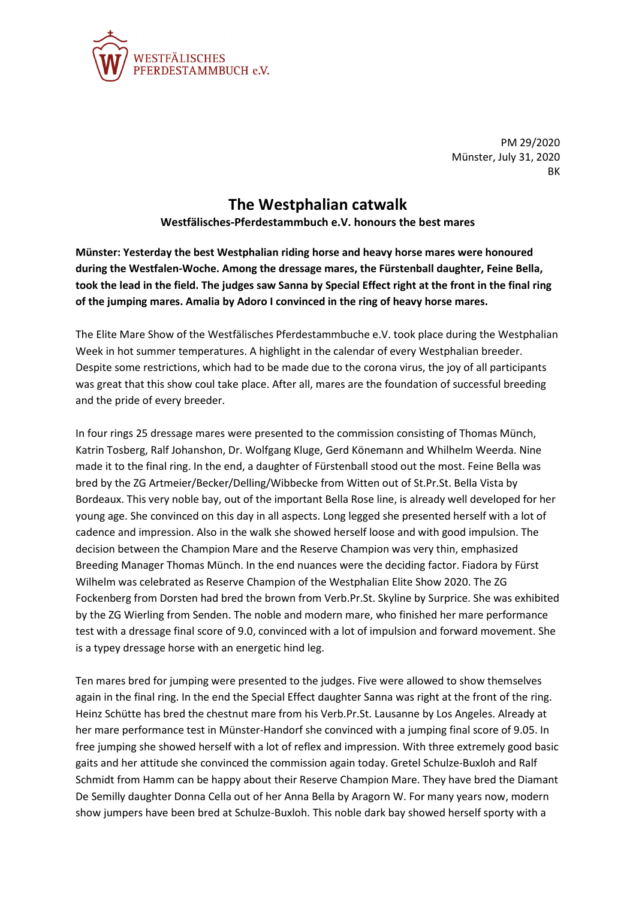

PM 29/2020 Münster, July 31, 2020 BK

## **The Westphalian catwalk**

**Westfälisches-Pferdestammbuch e.V. honours the best mares**

**Münster: Yesterday the best Westphalian riding horse and heavy horse mares were honoured during the Westfalen-Woche. Among the dressage mares, the Fürstenball daughter, Feine Bella, took the lead in the field. The judges saw Sanna by Special Effect right at the front in the final ring of the jumping mares. Amalia by Adoro I convinced in the ring of heavy horse mares.**

The Elite Mare Show of the Westfälisches Pferdestammbuche e.V. took place during the Westphalian Week in hot summer temperatures. A highlight in the calendar of every Westphalian breeder. Despite some restrictions, which had to be made due to the corona virus, the joy of all participants was great that this show coul take place. After all, mares are the foundation of successful breeding and the pride of every breeder.

In four rings 25 dressage mares were presented to the commission consisting of Thomas Münch, Katrin Tosberg, Ralf Johanshon, Dr. Wolfgang Kluge, Gerd Könemann and Whilhelm Weerda. Nine made it to the final ring. In the end, a daughter of Fürstenball stood out the most. Feine Bella was bred by the ZG Artmeier/Becker/Delling/Wibbecke from Witten out of St.Pr.St. Bella Vista by Bordeaux. This very noble bay, out of the important Bella Rose line, is already well developed for her young age. She convinced on this day in all aspects. Long legged she presented herself with a lot of cadence and impression. Also in the walk she showed herself loose and with good impulsion. The decision between the Champion Mare and the Reserve Champion was very thin, emphasized Breeding Manager Thomas Münch. In the end nuances were the deciding factor. Fiadora by Fürst Wilhelm was celebrated as Reserve Champion of the Westphalian Elite Show 2020. The ZG Fockenberg from Dorsten had bred the brown from Verb.Pr.St. Skyline by Surprice. She was exhibited by the ZG Wierling from Senden. The noble and modern mare, who finished her mare performance test with a dressage final score of 9.0, convinced with a lot of impulsion and forward movement. She is a typey dressage horse with an energetic hind leg.

Ten mares bred for jumping were presented to the judges. Five were allowed to show themselves again in the final ring. In the end the Special Effect daughter Sanna was right at the front of the ring. Heinz Schütte has bred the chestnut mare from his Verb.Pr.St. Lausanne by Los Angeles. Already at her mare performance test in Münster-Handorf she convinced with a jumping final score of 9.05. In free jumping she showed herself with a lot of reflex and impression. With three extremely good basic gaits and her attitude she convinced the commission again today. Gretel Schulze-Buxloh and Ralf Schmidt from Hamm can be happy about their Reserve Champion Mare. They have bred the Diamant De Semilly daughter Donna Cella out of her Anna Bella by Aragorn W. For many years now, modern show jumpers have been bred at Schulze-Buxloh. This noble dark bay showed herself sporty with a